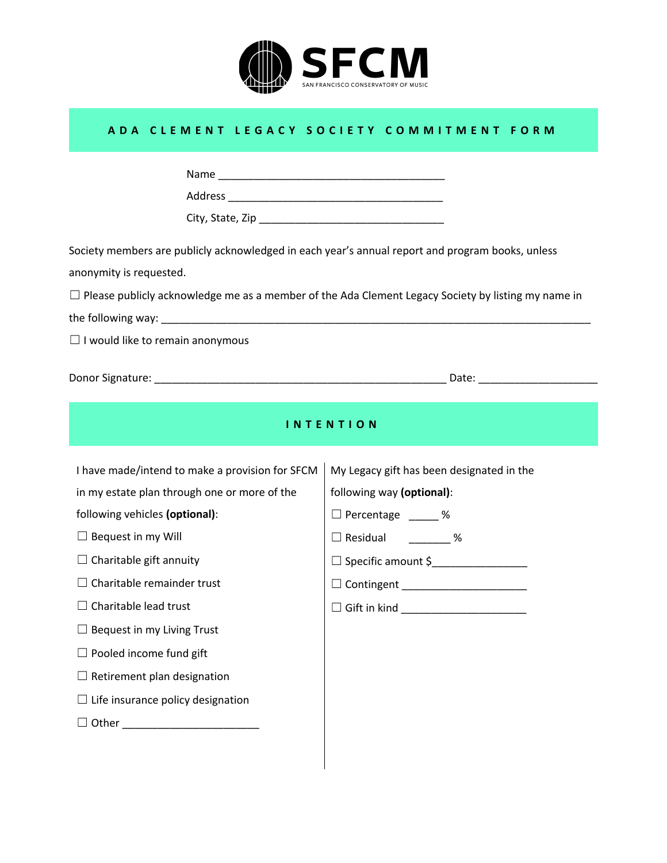

## **ADA CLEMENT LEGACY SOCIETY COMMITMENT FORM**

| Society members are publicly acknowledged in each year's annual report and program books, unless<br>anonymity is requested.<br>$\Box$ Please publicly acknowledge me as a member of the Ada Clement Legacy Society by listing my name in<br>$\Box$ I would like to remain anonymous                                                                                                                                                                                      |                                                                                                                                                                                                 |  |  |  |  |  |
|--------------------------------------------------------------------------------------------------------------------------------------------------------------------------------------------------------------------------------------------------------------------------------------------------------------------------------------------------------------------------------------------------------------------------------------------------------------------------|-------------------------------------------------------------------------------------------------------------------------------------------------------------------------------------------------|--|--|--|--|--|
|                                                                                                                                                                                                                                                                                                                                                                                                                                                                          |                                                                                                                                                                                                 |  |  |  |  |  |
| <b>INTENTION</b>                                                                                                                                                                                                                                                                                                                                                                                                                                                         |                                                                                                                                                                                                 |  |  |  |  |  |
| I have made/intend to make a provision for SFCM<br>in my estate plan through one or more of the<br>following vehicles (optional):<br>$\Box$ Bequest in my Will<br>$\Box$ Charitable gift annuity<br>$\Box$ Charitable remainder trust<br>$\Box$ Charitable lead trust<br>$\Box$ Bequest in my Living Trust<br>$\Box$ Pooled income fund gift<br>$\Box$ Retirement plan designation<br>$\Box$ Life insurance policy designation<br>□ Other ______________________________ | My Legacy gift has been designated in the<br>following way (optional):<br>□ Percentage 2 %<br>□ Residual 2020<br>□ Contingent ______________________<br>□ Gift in kind ________________________ |  |  |  |  |  |